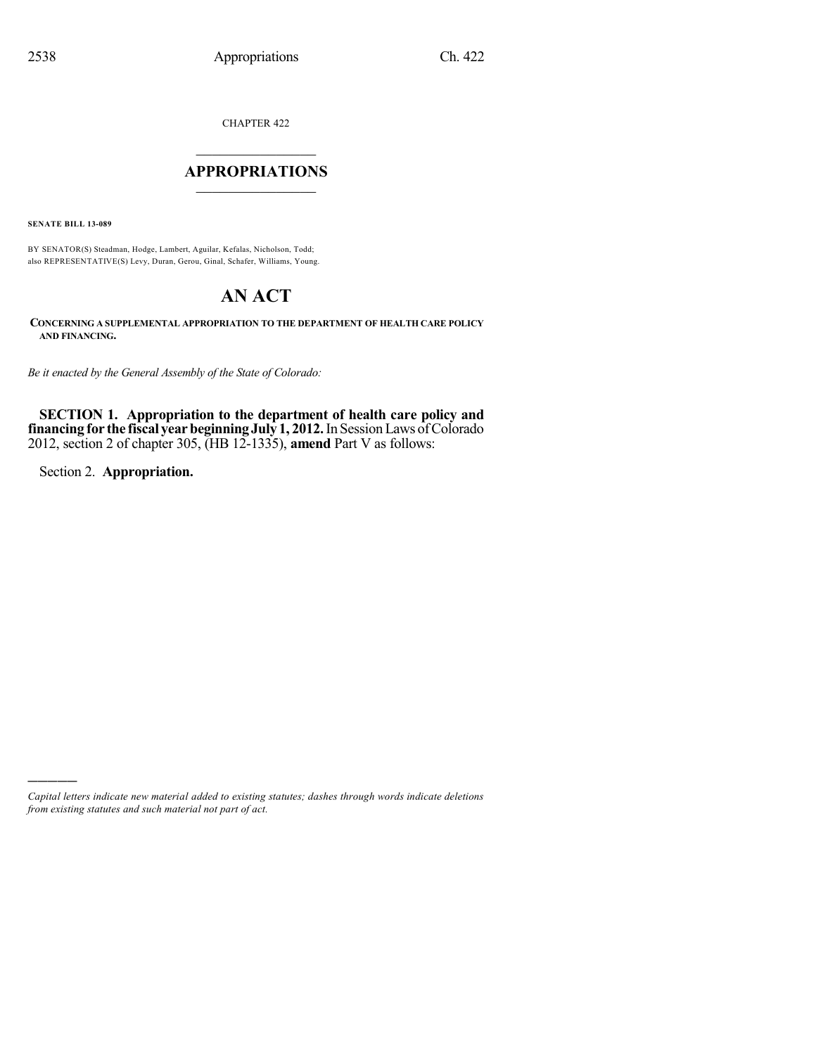CHAPTER 422

## $\overline{\phantom{a}}$  . The set of the set of the set of the set of the set of the set of the set of the set of the set of the set of the set of the set of the set of the set of the set of the set of the set of the set of the set o **APPROPRIATIONS**  $\_$   $\_$   $\_$   $\_$   $\_$   $\_$   $\_$   $\_$

**SENATE BILL 13-089**

BY SENATOR(S) Steadman, Hodge, Lambert, Aguilar, Kefalas, Nicholson, Todd; also REPRESENTATIVE(S) Levy, Duran, Gerou, Ginal, Schafer, Williams, Young.

# **AN ACT**

**CONCERNING A SUPPLEMENTAL APPROPRIATION TO THE DEPARTMENT OF HEALTH CARE POLICY AND FINANCING.**

*Be it enacted by the General Assembly of the State of Colorado:*

**SECTION 1. Appropriation to the department of health care policy and financing for the fiscal yearbeginningJuly 1, 2012.**In SessionLaws ofColorado 2012, section 2 of chapter 305, (HB 12-1335), **amend** Part V as follows:

Section 2. **Appropriation.**

)))))

*Capital letters indicate new material added to existing statutes; dashes through words indicate deletions from existing statutes and such material not part of act.*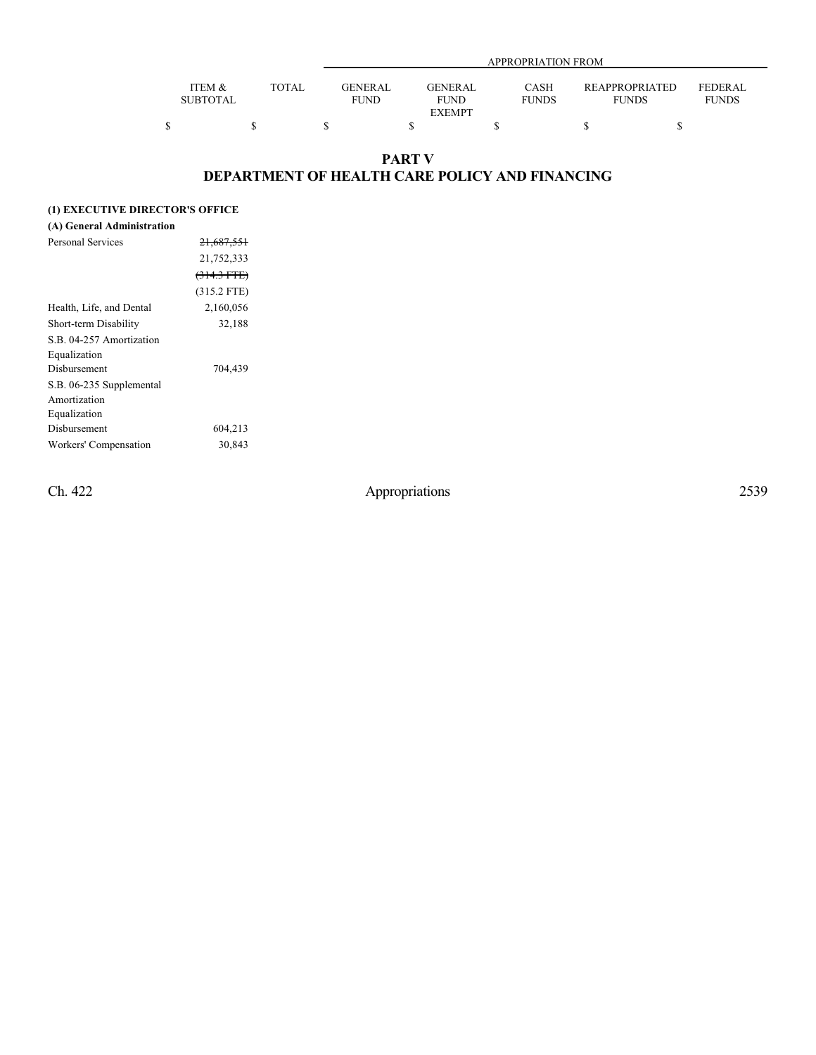|                 |       | APPROPRIATION FROM |                             |                |                |  |  |
|-----------------|-------|--------------------|-----------------------------|----------------|----------------|--|--|
|                 |       |                    |                             |                |                |  |  |
| ITEM &          | TOTAL | GENERAL            | CASH<br><b>GENER AL</b>     | REAPPROPRIATED | <b>FEDERAL</b> |  |  |
| <b>SUBTOTAL</b> |       | <b>FUND</b>        | <b>FUNDS</b><br><b>FUND</b> | <b>FUNDS</b>   | <b>FUNDS</b>   |  |  |
|                 |       |                    | <b>EXEMPT</b>               |                |                |  |  |
|                 |       |                    |                             |                |                |  |  |

## **PART V DEPARTMENT OF HEALTH CARE POLICY AND FINANCING**

## **(1) EXECUTIVE DIRECTOR'S OFFICE**

### **(A) General Administration**

| Personal Services        | 21,687,551    |
|--------------------------|---------------|
|                          | 21,752,333    |
|                          | $(314.3 FTE)$ |
|                          | $(315.2$ FTE) |
| Health, Life, and Dental | 2,160,056     |
| Short-term Disability    | 32,188        |
| S.B. 04-257 Amortization |               |
| Equalization             |               |
| Disbursement             | 704,439       |
| S.B. 06-235 Supplemental |               |
| Amortization             |               |
| Equalization             |               |
| Disbursement             | 604,213       |
| Workers' Compensation    | 30,843        |
|                          |               |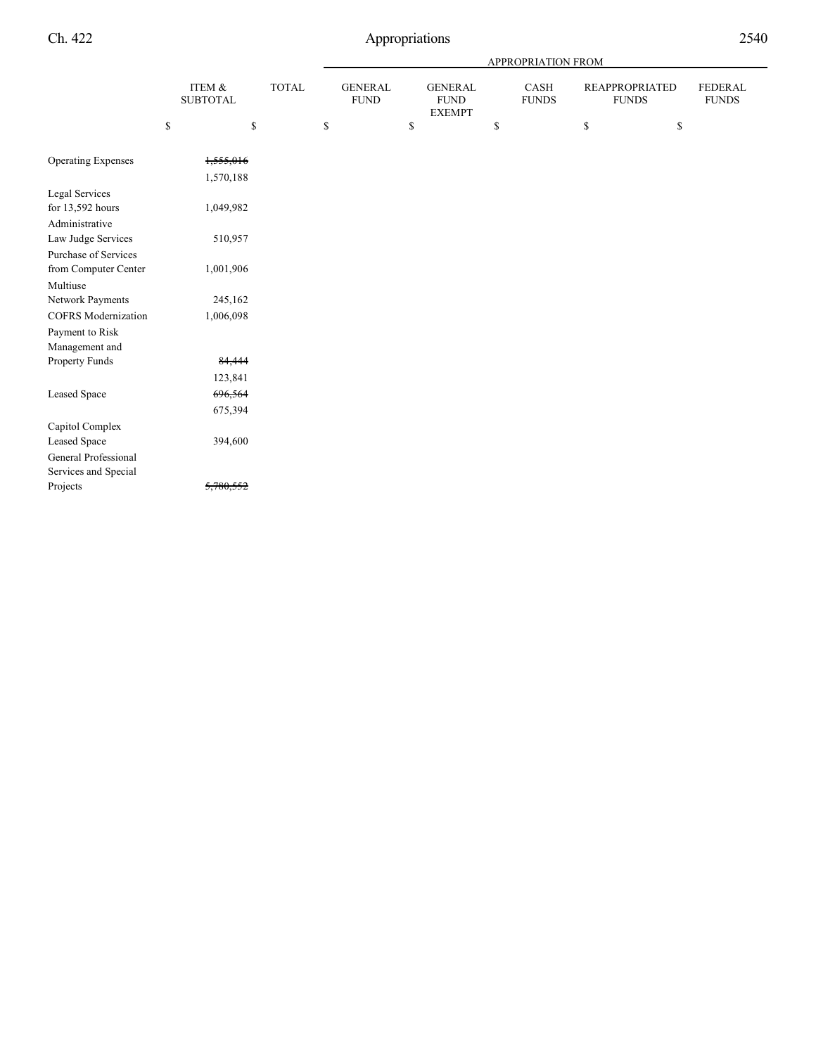|                             |                           |              |                               |                                                | APPROPRIATION FROM   |                                       |                                |
|-----------------------------|---------------------------|--------------|-------------------------------|------------------------------------------------|----------------------|---------------------------------------|--------------------------------|
|                             | ITEM &<br><b>SUBTOTAL</b> | <b>TOTAL</b> | <b>GENERAL</b><br><b>FUND</b> | <b>GENERAL</b><br><b>FUND</b><br><b>EXEMPT</b> | CASH<br><b>FUNDS</b> | <b>REAPPROPRIATED</b><br><b>FUNDS</b> | <b>FEDERAL</b><br><b>FUNDS</b> |
|                             | ${\mathbb S}$             | \$           | \$                            | \$                                             | \$                   | \$<br>\$                              |                                |
| <b>Operating Expenses</b>   | 1,555,016                 |              |                               |                                                |                      |                                       |                                |
|                             | 1,570,188                 |              |                               |                                                |                      |                                       |                                |
| Legal Services              |                           |              |                               |                                                |                      |                                       |                                |
| for 13,592 hours            | 1,049,982                 |              |                               |                                                |                      |                                       |                                |
| Administrative              |                           |              |                               |                                                |                      |                                       |                                |
| Law Judge Services          | 510,957                   |              |                               |                                                |                      |                                       |                                |
| <b>Purchase of Services</b> |                           |              |                               |                                                |                      |                                       |                                |
| from Computer Center        | 1,001,906                 |              |                               |                                                |                      |                                       |                                |
| Multiuse                    |                           |              |                               |                                                |                      |                                       |                                |
| Network Payments            | 245,162                   |              |                               |                                                |                      |                                       |                                |
| <b>COFRS</b> Modernization  | 1,006,098                 |              |                               |                                                |                      |                                       |                                |
| Payment to Risk             |                           |              |                               |                                                |                      |                                       |                                |
| Management and              |                           |              |                               |                                                |                      |                                       |                                |
| Property Funds              | 84,444                    |              |                               |                                                |                      |                                       |                                |
|                             | 123,841                   |              |                               |                                                |                      |                                       |                                |
| Leased Space                | 696,564                   |              |                               |                                                |                      |                                       |                                |
|                             | 675,394                   |              |                               |                                                |                      |                                       |                                |
| Capitol Complex             |                           |              |                               |                                                |                      |                                       |                                |
| Leased Space                | 394,600                   |              |                               |                                                |                      |                                       |                                |
| General Professional        |                           |              |                               |                                                |                      |                                       |                                |
| Services and Special        |                           |              |                               |                                                |                      |                                       |                                |
| Projects                    | 5,780,552                 |              |                               |                                                |                      |                                       |                                |
|                             |                           |              |                               |                                                |                      |                                       |                                |

i<br>Li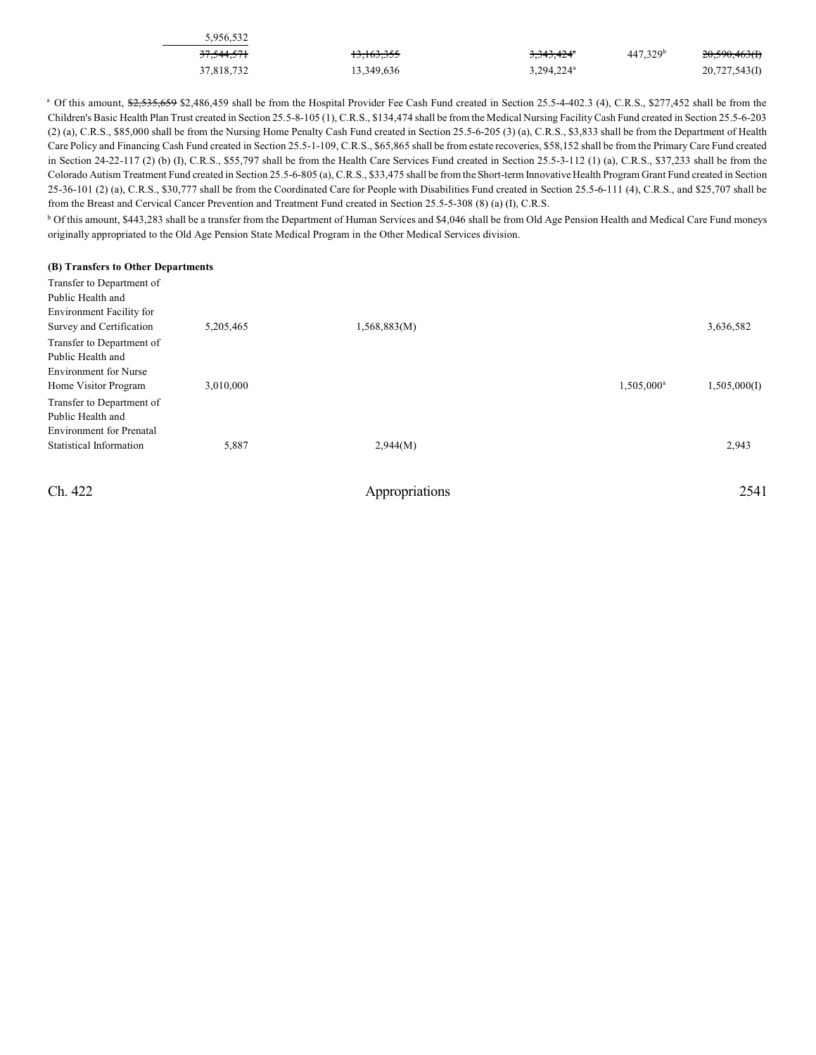| 5.956.532             |                       |                        |                      |               |
|-----------------------|-----------------------|------------------------|----------------------|---------------|
| <del>37,544,571</del> | <del>13,163,355</del> | 3,343,424 <sup>a</sup> | 447.329 <sup>b</sup> | 20,590,463(f) |
| 37.818.732            | 13.349.636            | 3.294.224 <sup>a</sup> |                      | 20,727,543(1) |

<sup>a</sup> Of this amount, \$2,535,659 \$2,486,459 shall be from the Hospital Provider Fee Cash Fund created in Section 25.5-4-402.3 (4), C.R.S., \$277,452 shall be from the Children's Basic Health Plan Trust created in Section 25.5-8-105 (1), C.R.S., \$134,474 shall be from the Medical Nursing FacilityCash Fund created in Section 25.5-6-203 (2) (a), C.R.S., \$85,000 shall be from the Nursing Home Penalty Cash Fund created in Section 25.5-6-205 (3) (a), C.R.S., \$3,833 shall be from the Department of Health Care Policy and Financing Cash Fund created in Section 25.5-1-109, C.R.S., \$65,865 shall be from estate recoveries, \$58,152 shall be from the Primary Care Fund created in Section 24-22-117 (2) (b) (I), C.R.S., \$55,797 shall be from the Health Care Services Fund created in Section 25.5-3-112 (1) (a), C.R.S., \$37,233 shall be from the Colorado Autism Treatment Fund created in Section 25.5-6-805 (a), C.R.S., \$33,475 shall be from the Short-term Innovative Health Program Grant Fund created in Section 25-36-101 (2) (a), C.R.S., \$30,777 shall be from the Coordinated Care for People with Disabilities Fund created in Section 25.5-6-111 (4), C.R.S., and \$25,707 shall be from the Breast and Cervical Cancer Prevention and Treatment Fund created in Section 25.5-5-308 (8) (a) (I), C.R.S.

 $^{\rm b}$  Of this amount, \$443,283 shall be a transfer from the Department of Human Services and \$4,046 shall be from Old Age Pension Health and Medical Care Fund moneys originally appropriated to the Old Age Pension State Medical Program in the Other Medical Services division.

#### **(B) Transfers to Other Departments**

| Transfer to Department of       |           |              |                        |              |
|---------------------------------|-----------|--------------|------------------------|--------------|
| Public Health and               |           |              |                        |              |
| Environment Facility for        |           |              |                        |              |
| Survey and Certification        | 5,205,465 | 1,568,883(M) |                        | 3,636,582    |
| Transfer to Department of       |           |              |                        |              |
| Public Health and               |           |              |                        |              |
| <b>Environment</b> for Nurse    |           |              |                        |              |
| Home Visitor Program            | 3,010,000 |              | 1,505,000 <sup>a</sup> | 1,505,000(I) |
| Transfer to Department of       |           |              |                        |              |
| Public Health and               |           |              |                        |              |
| <b>Environment</b> for Prenatal |           |              |                        |              |
| <b>Statistical Information</b>  | 5,887     | 2,944(M)     |                        | 2,943        |
|                                 |           |              |                        |              |
|                                 |           |              |                        |              |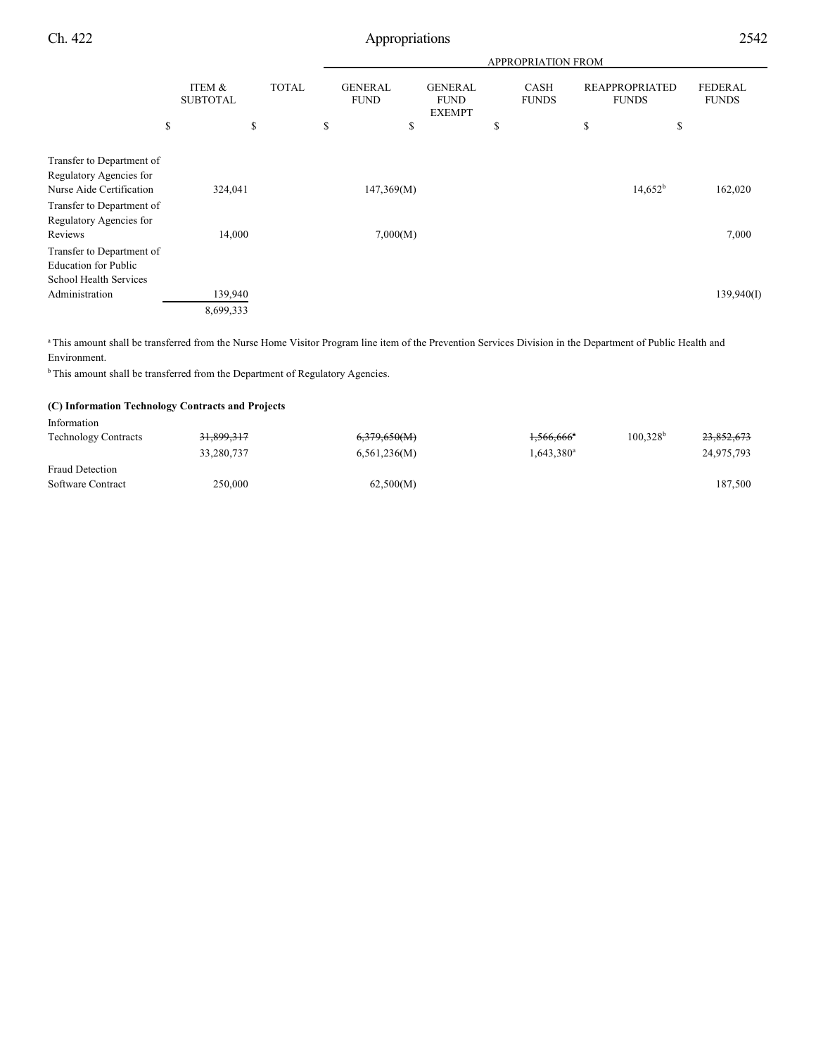|                                                                                  |                           |              | <b>APPROPRIATION FROM</b>     |                                                |                             |                                       |                                |  |  |
|----------------------------------------------------------------------------------|---------------------------|--------------|-------------------------------|------------------------------------------------|-----------------------------|---------------------------------------|--------------------------------|--|--|
|                                                                                  | ITEM &<br><b>SUBTOTAL</b> | <b>TOTAL</b> | <b>GENERAL</b><br><b>FUND</b> | <b>GENERAL</b><br><b>FUND</b><br><b>EXEMPT</b> | <b>CASH</b><br><b>FUNDS</b> | <b>REAPPROPRIATED</b><br><b>FUNDS</b> | <b>FEDERAL</b><br><b>FUNDS</b> |  |  |
|                                                                                  | \$                        | \$           | \$                            | \$                                             | \$                          | \$<br>\$                              |                                |  |  |
| Transfer to Department of<br>Regulatory Agencies for<br>Nurse Aide Certification | 324,041                   |              | 147,369(M)                    |                                                |                             | $14,652^b$                            | 162,020                        |  |  |
| Transfer to Department of<br>Regulatory Agencies for                             |                           |              |                               |                                                |                             |                                       |                                |  |  |
| Reviews<br>Transfer to Department of<br><b>Education for Public</b>              | 14,000                    |              | 7,000(M)                      |                                                |                             |                                       | 7,000                          |  |  |
| School Health Services<br>Administration                                         | 139,940                   |              |                               |                                                |                             |                                       | 139,940(I)                     |  |  |
|                                                                                  | 8,699,333                 |              |                               |                                                |                             |                                       |                                |  |  |

<sup>a</sup>This amount shall be transferred from the Nurse Home Visitor Program line item of the Prevention Services Division in the Department of Public Health and Environment.

 $<sup>b</sup>$ This amount shall be transferred from the Department of Regulatory Agencies.</sup>

#### **(C) Information Technology Contracts and Projects**

| 6,379,650(M) | $1,566,666$ <sup>a</sup>            | 100.328 <sup>b</sup><br>23,852,673 |
|--------------|-------------------------------------|------------------------------------|
| 6,561,236(M) | $1,643,380$ <sup>a</sup>            | 24,975,793                         |
|              |                                     |                                    |
| 62,500(M)    |                                     | 187,500                            |
|              | 31,899,317<br>33,280,737<br>250,000 |                                    |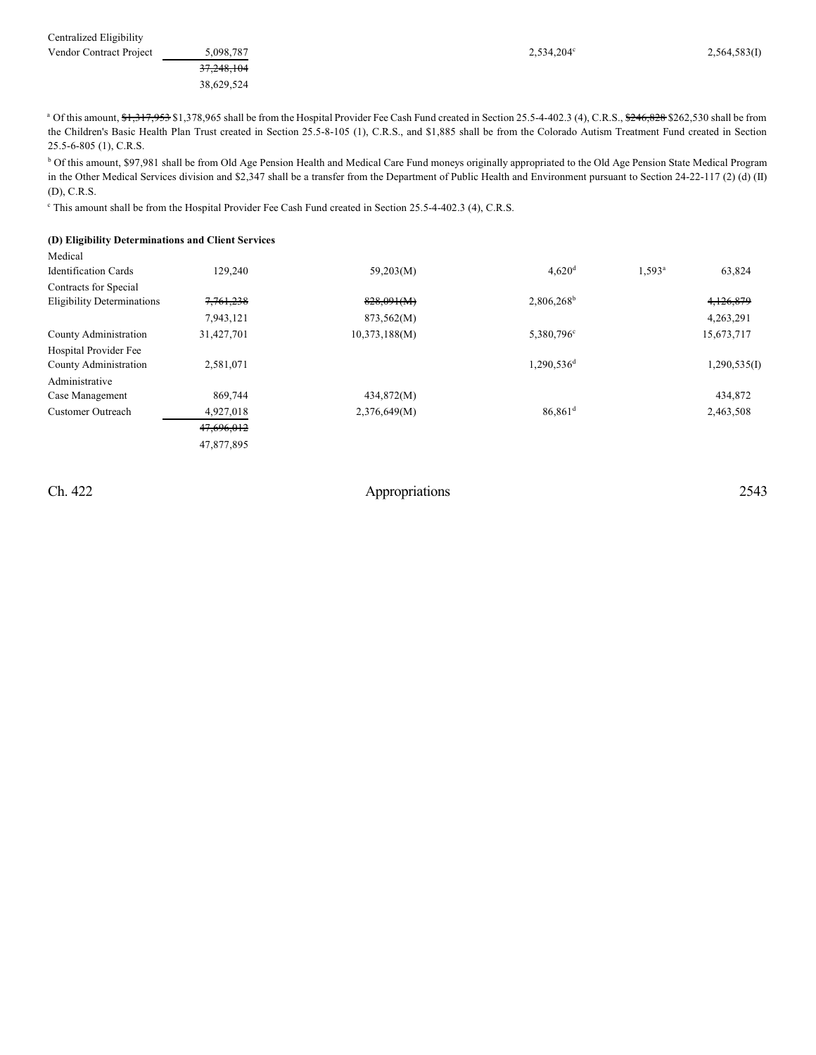| Centralized Eligibility |  |
|-------------------------|--|
|-------------------------|--|

| <b>Vendor Contract Project</b> | 5.098.787  | $2,534,204^{\circ}$ | 2,564,583(I) |  |
|--------------------------------|------------|---------------------|--------------|--|
|                                | 37,248,104 |                     |              |  |
|                                | 38.629.524 |                     |              |  |

<sup>b</sup> Of this amount, \$97,981 shall be from Old Age Pension Health and Medical Care Fund moneys originally appropriated to the Old Age Pension State Medical Program in the Other Medical Services division and \$2,347 shall be a transfer from the Department of Public Health and Environment pursuant to Section 24-22-117 (2) (d) (II) (D), C.R.S.

<sup>c</sup> This amount shall be from the Hospital Provider Fee Cash Fund created in Section 25.5-4-402.3 (4), C.R.S.

#### **(D) Eligibility Determinations and Client Services**

| Medical                           |            |               |                        |           |              |
|-----------------------------------|------------|---------------|------------------------|-----------|--------------|
| <b>Identification Cards</b>       | 129,240    | 59,203(M)     | $4,620$ <sup>d</sup>   | $1,593^a$ | 63,824       |
| Contracts for Special             |            |               |                        |           |              |
| <b>Eligibility Determinations</b> | 7,761,238  | 828,091(M)    | 2,806,268 <sup>b</sup> |           | 4,126,879    |
|                                   | 7,943,121  | 873,562(M)    |                        |           | 4,263,291    |
| County Administration             | 31,427,701 | 10,373,188(M) | 5,380,796 <sup>c</sup> |           | 15,673,717   |
| Hospital Provider Fee             |            |               |                        |           |              |
| County Administration             | 2,581,071  |               | 1,290,536 <sup>d</sup> |           | 1,290,535(I) |
| Administrative                    |            |               |                        |           |              |
| Case Management                   | 869,744    | 434,872(M)    |                        |           | 434,872      |
| <b>Customer Outreach</b>          | 4,927,018  | 2,376,649(M)  | $86.861$ <sup>d</sup>  |           | 2,463,508    |
|                                   | 47,696,012 |               |                        |           |              |
|                                   | 47,877,895 |               |                        |           |              |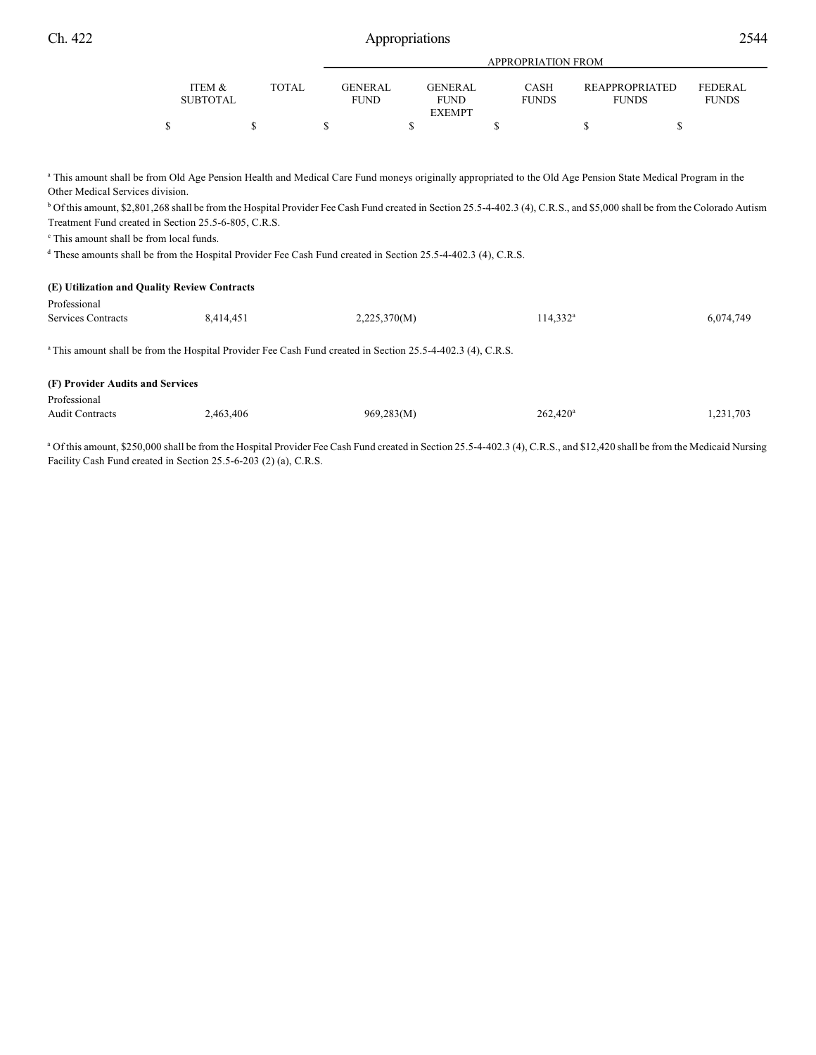| ٧ |  |
|---|--|

|                 |              |                | APPROPRIATION FROM |              |                       |              |  |  |
|-----------------|--------------|----------------|--------------------|--------------|-----------------------|--------------|--|--|
|                 |              |                |                    |              |                       |              |  |  |
| ITEM &          | <b>TOTAL</b> | <b>GENERAL</b> | GENERAL            | CASH         | <b>REAPPROPRIATED</b> | FEDERAL      |  |  |
| <b>SUBTOTAL</b> |              | <b>FUND</b>    | <b>FUND</b>        | <b>FUNDS</b> | <b>FUNDS</b>          | <b>FUNDS</b> |  |  |
|                 |              |                | <b>EXEMPT</b>      |              |                       |              |  |  |
|                 |              |                |                    |              |                       |              |  |  |

<sup>a</sup> This amount shall be from Old Age Pension Health and Medical Care Fund moneys originally appropriated to the Old Age Pension State Medical Program in the Other Medical Services division.

<sup>b</sup> Of this amount, \$2,801,268 shall be from the Hospital Provider Fee Cash Fund created in Section 25.5-4-402.3 (4), C.R.S., and \$5,000 shall be from the Colorado Autism Treatment Fund created in Section 25.5-6-805, C.R.S.

 $\degree$  This amount shall be from local funds.

<sup>d</sup> These amounts shall be from the Hospital Provider Fee Cash Fund created in Section 25.5-4-402.3 (4), C.R.S.

| 6,074,749 |
|-----------|
|           |
|           |
|           |
|           |
|           |
| 1,231,703 |
|           |

<sup>a</sup> Of this amount, \$250,000 shall be from the Hospital Provider Fee Cash Fund created in Section 25.5-4-402.3 (4), C.R.S., and \$12,420 shall be from the Medicaid Nursing Facility Cash Fund created in Section 25.5-6-203 (2) (a), C.R.S.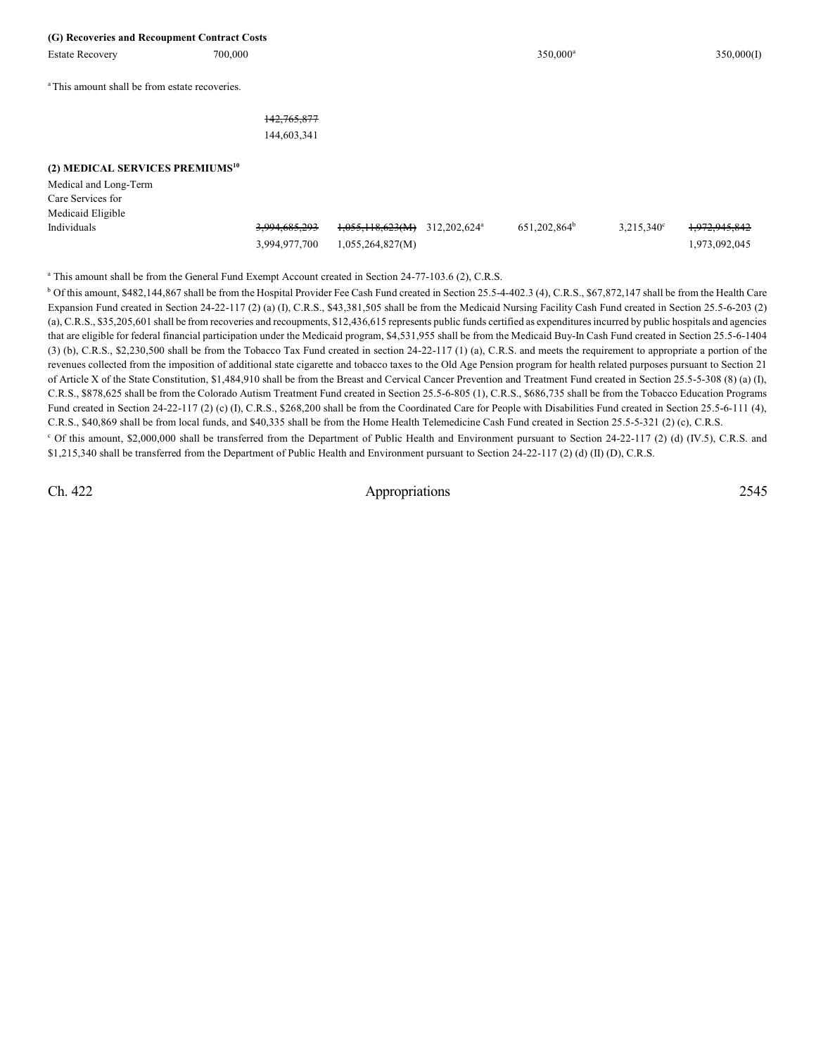| (G) Recoveries and Recoupment Contract Costs                                                                      |                          |                  |                          |                          |                     |               |
|-------------------------------------------------------------------------------------------------------------------|--------------------------|------------------|--------------------------|--------------------------|---------------------|---------------|
| <b>Estate Recovery</b>                                                                                            | 700,000                  |                  |                          | 350,000 <sup>a</sup>     |                     | 350,000(I)    |
|                                                                                                                   |                          |                  |                          |                          |                     |               |
| <sup>a</sup> This amount shall be from estate recoveries.                                                         |                          |                  |                          |                          |                     |               |
|                                                                                                                   |                          |                  |                          |                          |                     |               |
|                                                                                                                   | 142,765,877              |                  |                          |                          |                     |               |
|                                                                                                                   | 144,603,341              |                  |                          |                          |                     |               |
|                                                                                                                   |                          |                  |                          |                          |                     |               |
| (2) MEDICAL SERVICES PREMIUMS <sup>10</sup>                                                                       |                          |                  |                          |                          |                     |               |
| Medical and Long-Term                                                                                             |                          |                  |                          |                          |                     |               |
| Care Services for                                                                                                 |                          |                  |                          |                          |                     |               |
| Medicaid Eligible                                                                                                 |                          |                  |                          |                          |                     |               |
| Individuals                                                                                                       | <del>3,994,685,293</del> | 1,055,118,623(M) | 312,202,624 <sup>a</sup> | 651,202,864 <sup>b</sup> | $3,215,340^{\circ}$ | 1,972,945,842 |
|                                                                                                                   | 3,994,977,700            | 1,055,264,827(M) |                          |                          |                     | 1,973,092,045 |
|                                                                                                                   |                          |                  |                          |                          |                     |               |
| <sup>a</sup> This amount shall be from the General Fund Exempt Account created in Section 24-77-103.6 (2), C.R.S. |                          |                  |                          |                          |                     |               |
|                                                                                                                   |                          |                  |                          |                          |                     |               |

<sup>b</sup> Of this amount, \$482,144,867 shall be from the Hospital Provider Fee Cash Fund created in Section 25.5-4-402.3 (4), C.R.S., \$67,872,147 shall be from the Health Care Expansion Fund created in Section 24-22-117 (2) (a) (I), C.R.S., \$43,381,505 shall be from the Medicaid Nursing Facility Cash Fund created in Section 25.5-6-203 (2) (a), C.R.S., \$35,205,601 shall be from recoveries and recoupments, \$12,436,615 represents public funds certified as expenditures incurred by public hospitals and agencies that are eligible for federal financial participation under the Medicaid program, \$4,531,955 shall be from the Medicaid Buy-In Cash Fund created in Section 25.5-6-1404 (3) (b), C.R.S., \$2,230,500 shall be from the Tobacco Tax Fund created in section 24-22-117 (1) (a), C.R.S. and meets the requirement to appropriate a portion of the revenues collected from the imposition of additional state cigarette and tobacco taxes to the Old Age Pension program for health related purposes pursuant to Section 21 of Article X of the State Constitution, \$1,484,910 shall be from the Breast and Cervical Cancer Prevention and Treatment Fund created in Section 25.5-5-308 (8) (a) (I), C.R.S., \$878,625 shall be from the Colorado Autism Treatment Fund created in Section 25.5-6-805 (1), C.R.S., \$686,735 shall be from the Tobacco Education Programs Fund created in Section 24-22-117 (2) (c) (I), C.R.S., \$268,200 shall be from the Coordinated Care for People with Disabilities Fund created in Section 25.5-6-111 (4), C.R.S., \$40,869 shall be from local funds, and \$40,335 shall be from the Home Health Telemedicine Cash Fund created in Section 25.5-5-321 (2) (c), C.R.S.

<sup>c</sup> Of this amount, \$2,000,000 shall be transferred from the Department of Public Health and Environment pursuant to Section 24-22-117 (2) (d) (IV.5), C.R.S. and \$1,215,340 shall be transferred from the Department of Public Health and Environment pursuant to Section 24-22-117 (2) (d) (II) (D), C.R.S.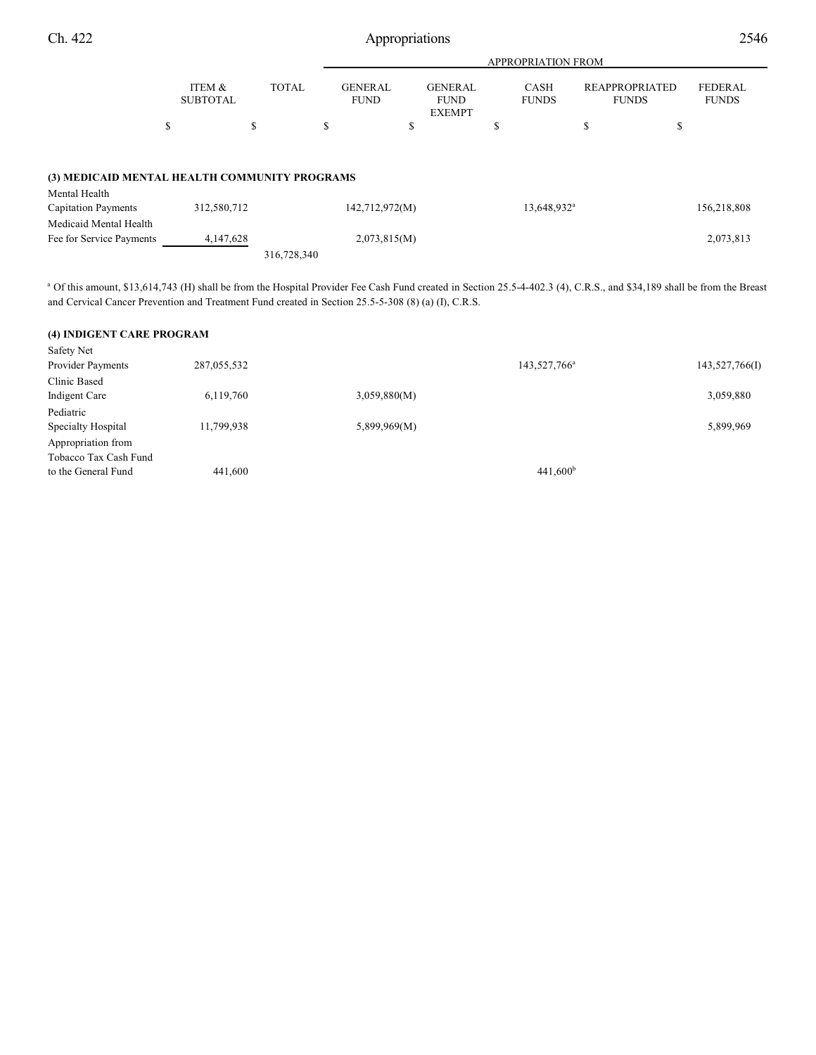| 2546 |
|------|
|      |

|                                               |                           |              | <b>APPROPRIATION FROM</b>     |                                                |                      |                                |                         |  |  |  |
|-----------------------------------------------|---------------------------|--------------|-------------------------------|------------------------------------------------|----------------------|--------------------------------|-------------------------|--|--|--|
|                                               | ITEM &<br><b>SUBTOTAL</b> | <b>TOTAL</b> | <b>GENERAL</b><br><b>FUND</b> | <b>GENERAL</b><br><b>FUND</b><br><b>EXEMPT</b> | CASH<br><b>FUNDS</b> | REAPPROPRIATED<br><b>FUNDS</b> | FEDERAL<br><b>FUNDS</b> |  |  |  |
| \$                                            |                           |              |                               |                                                |                      | D                              | J.                      |  |  |  |
| (3) MEDICAID MENTAL HEALTH COMMUNITY PROGRAMS |                           |              |                               |                                                |                      |                                |                         |  |  |  |

| Mental Health              |             |                |                           |             |
|----------------------------|-------------|----------------|---------------------------|-------------|
| <b>Capitation Payments</b> | 312,580,712 | 142,712,972(M) | $13.648.932$ <sup>a</sup> | 156,218,808 |
| Medicaid Mental Health     |             |                |                           |             |
| Fee for Service Payments   | 4.147.628   | 2,073,815(M)   |                           | 2,073,813   |
|                            |             | 316,728,340    |                           |             |

<sup>a</sup> Of this amount, \$13,614,743 (H) shall be from the Hospital Provider Fee Cash Fund created in Section 25.5-4-402.3 (4), C.R.S., and \$34,189 shall be from the Breast and Cervical Cancer Prevention and Treatment Fund created in Section 25.5-5-308 (8) (a) (I), C.R.S.

| (4) INDIGENT CARE PROGRAM |             |              |                          |                |
|---------------------------|-------------|--------------|--------------------------|----------------|
| Safety Net                |             |              |                          |                |
| Provider Payments         | 287,055,532 |              | 143,527,766 <sup>a</sup> | 143,527,766(I) |
| Clinic Based              |             |              |                          |                |
| Indigent Care             | 6,119,760   | 3,059,880(M) |                          | 3,059,880      |
| Pediatric                 |             |              |                          |                |
| Specialty Hospital        | 11,799,938  | 5,899,969(M) |                          | 5,899,969      |
| Appropriation from        |             |              |                          |                |
| Tobacco Tax Cash Fund     |             |              |                          |                |
| to the General Fund       | 441,600     |              | $441,600^{\rm b}$        |                |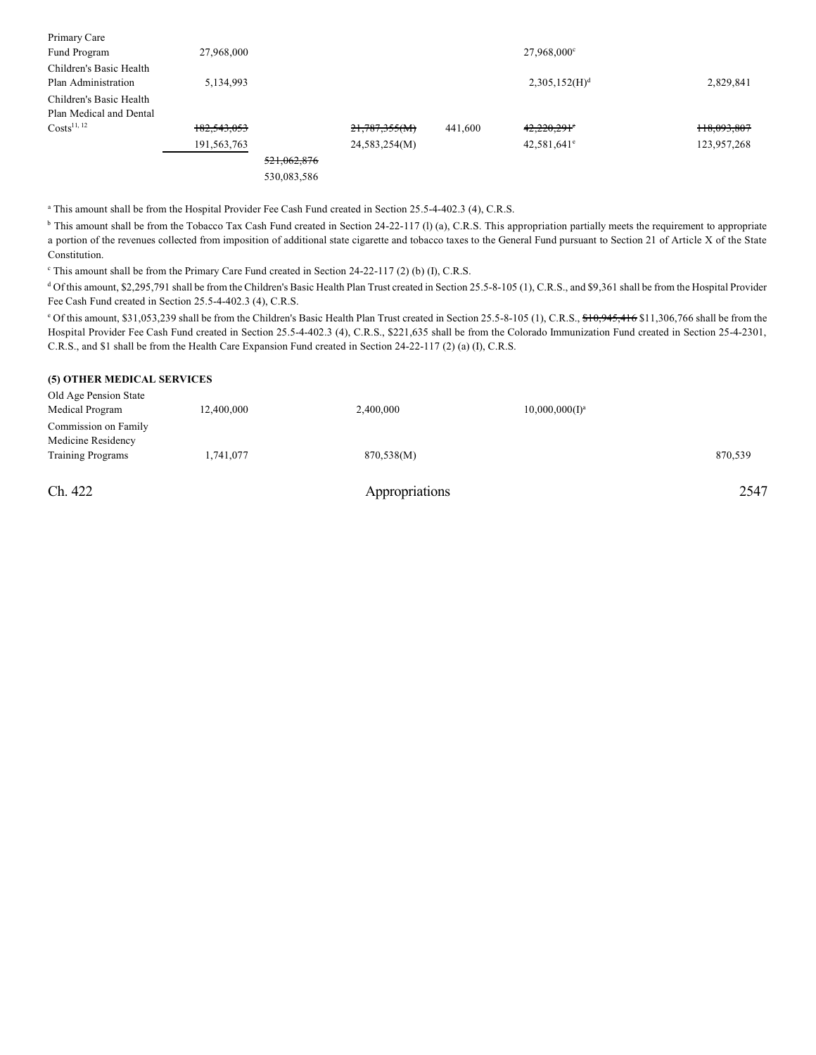| Primary Care              |             |             |               |         |                           |             |
|---------------------------|-------------|-------------|---------------|---------|---------------------------|-------------|
| Fund Program              | 27,968,000  |             |               |         | $27,968,000^{\circ}$      |             |
| Children's Basic Health   |             |             |               |         |                           |             |
| Plan Administration       | 5,134,993   |             |               |         | 2,305,152(H) <sup>d</sup> | 2,829,841   |
| Children's Basic Health   |             |             |               |         |                           |             |
| Plan Medical and Dental   |             |             |               |         |                           |             |
| $Costs$ <sup>11, 12</sup> | 182,543,053 |             | 21,787,355(M) | 441,600 | 42,220,291°               | 118,093,807 |
|                           | 191,563,763 |             | 24,583,254(M) |         | $42,581,641^{\circ}$      | 123,957,268 |
|                           |             | 521,062,876 |               |         |                           |             |
|                           |             | 530,083,586 |               |         |                           |             |

<sup>a</sup> This amount shall be from the Hospital Provider Fee Cash Fund created in Section 25.5-4-402.3 (4), C.R.S.

<sup>b</sup> This amount shall be from the Tobacco Tax Cash Fund created in Section 24-22-117 (l) (a), C.R.S. This appropriation partially meets the requirement to appropriate a portion of the revenues collected from imposition of additional state cigarette and tobacco taxes to the General Fund pursuant to Section 21 of Article X of the State Constitution.

<sup>c</sup> This amount shall be from the Primary Care Fund created in Section 24-22-117 (2) (b) (I), C.R.S.

<sup>d</sup> Of this amount, \$2,295,791 shall be from the Children's Basic Health Plan Trust created in Section 25.5-8-105 (1), C.R.S., and \$9,361 shall be from the Hospital Provider Fee Cash Fund created in Section 25.5-4-402.3 (4), C.R.S.

<sup>o</sup> Of this amount, \$31,053,239 shall be from the Children's Basic Health Plan Trust created in Section 25.5-8-105 (1), C.R.S., \$10,945,416 \$11,306,766 shall be from the Hospital Provider Fee Cash Fund created in Section 25.5-4-402.3 (4), C.R.S., \$221,635 shall be from the Colorado Immunization Fund created in Section 25-4-2301, C.R.S., and \$1 shall be from the Health Care Expansion Fund created in Section 24-22-117 (2) (a) (I), C.R.S.

#### **(5) OTHER MEDICAL SERVICES**

| Ch. 422                                    |            | Appropriations |                   | 2547    |
|--------------------------------------------|------------|----------------|-------------------|---------|
| <b>Training Programs</b>                   | 1,741,077  | 870,538(M)     |                   | 870,539 |
| Commission on Family<br>Medicine Residency |            |                |                   |         |
| Old Age Pension State<br>Medical Program   | 12,400,000 | 2,400,000      | $10,000,000(1)^a$ |         |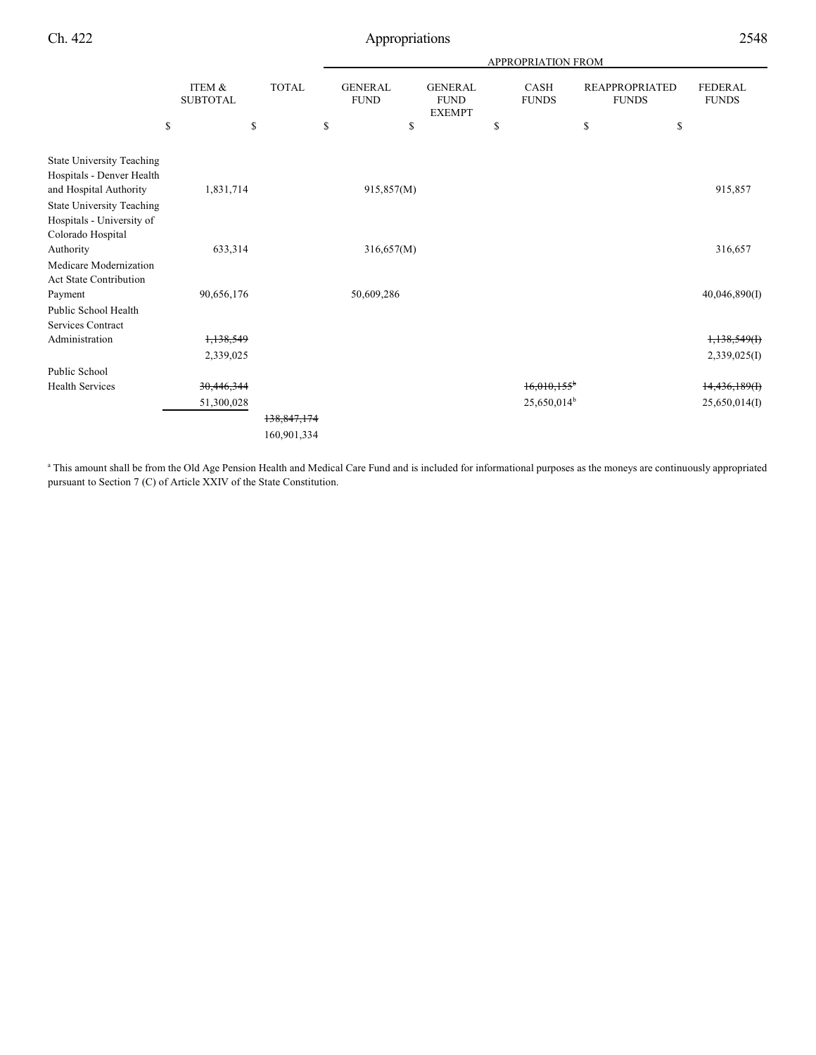|                                                                                         |                                 |                          | <b>APPROPRIATION FROM</b> |                                     |                                                |    |                             |    |                                             |                                |
|-----------------------------------------------------------------------------------------|---------------------------------|--------------------------|---------------------------|-------------------------------------|------------------------------------------------|----|-----------------------------|----|---------------------------------------------|--------------------------------|
|                                                                                         | \$<br>ITEM &<br><b>SUBTOTAL</b> | \$<br><b>TOTAL</b><br>\$ |                           | <b>GENERAL</b><br><b>FUND</b><br>\$ | <b>GENERAL</b><br><b>FUND</b><br><b>EXEMPT</b> | \$ | <b>CASH</b><br><b>FUNDS</b> | \$ | <b>REAPPROPRIATED</b><br><b>FUNDS</b><br>\$ | <b>FEDERAL</b><br><b>FUNDS</b> |
|                                                                                         |                                 |                          |                           |                                     |                                                |    |                             |    |                                             |                                |
| <b>State University Teaching</b><br>Hospitals - Denver Health<br>and Hospital Authority | 1,831,714                       |                          |                           | 915,857(M)                          |                                                |    |                             |    |                                             | 915,857                        |
| <b>State University Teaching</b><br>Hospitals - University of<br>Colorado Hospital      |                                 |                          |                           |                                     |                                                |    |                             |    |                                             |                                |
| Authority                                                                               | 633,314                         |                          |                           | 316,657(M)                          |                                                |    |                             |    |                                             | 316,657                        |
| Medicare Modernization<br><b>Act State Contribution</b>                                 |                                 |                          |                           |                                     |                                                |    |                             |    |                                             |                                |
| Payment                                                                                 | 90,656,176                      |                          |                           | 50,609,286                          |                                                |    |                             |    |                                             | 40,046,890(I)                  |
| Public School Health<br><b>Services Contract</b>                                        |                                 |                          |                           |                                     |                                                |    |                             |    |                                             |                                |
| Administration                                                                          | 1,138,549                       |                          |                           |                                     |                                                |    |                             |    |                                             | 1,138,549(f)                   |
|                                                                                         | 2,339,025                       |                          |                           |                                     |                                                |    |                             |    |                                             | 2,339,025(I)                   |
| Public School                                                                           |                                 |                          |                           |                                     |                                                |    |                             |    |                                             |                                |
| <b>Health Services</b>                                                                  | 30,446,344                      |                          |                           |                                     |                                                |    | $16.010.155$ <sup>t</sup>   |    |                                             | 14,436,189(f)                  |
|                                                                                         | 51,300,028                      |                          |                           |                                     |                                                |    | 25,650,014 <sup>b</sup>     |    |                                             | 25,650,014(I)                  |
|                                                                                         |                                 | 138,847,174              |                           |                                     |                                                |    |                             |    |                                             |                                |
|                                                                                         |                                 | 160,901,334              |                           |                                     |                                                |    |                             |    |                                             |                                |

<sup>a</sup> This amount shall be from the Old Age Pension Health and Medical Care Fund and is included for informational purposes as the moneys are continuously appropriated pursuant to Section 7 (C) of Article XXIV of the State Constitution.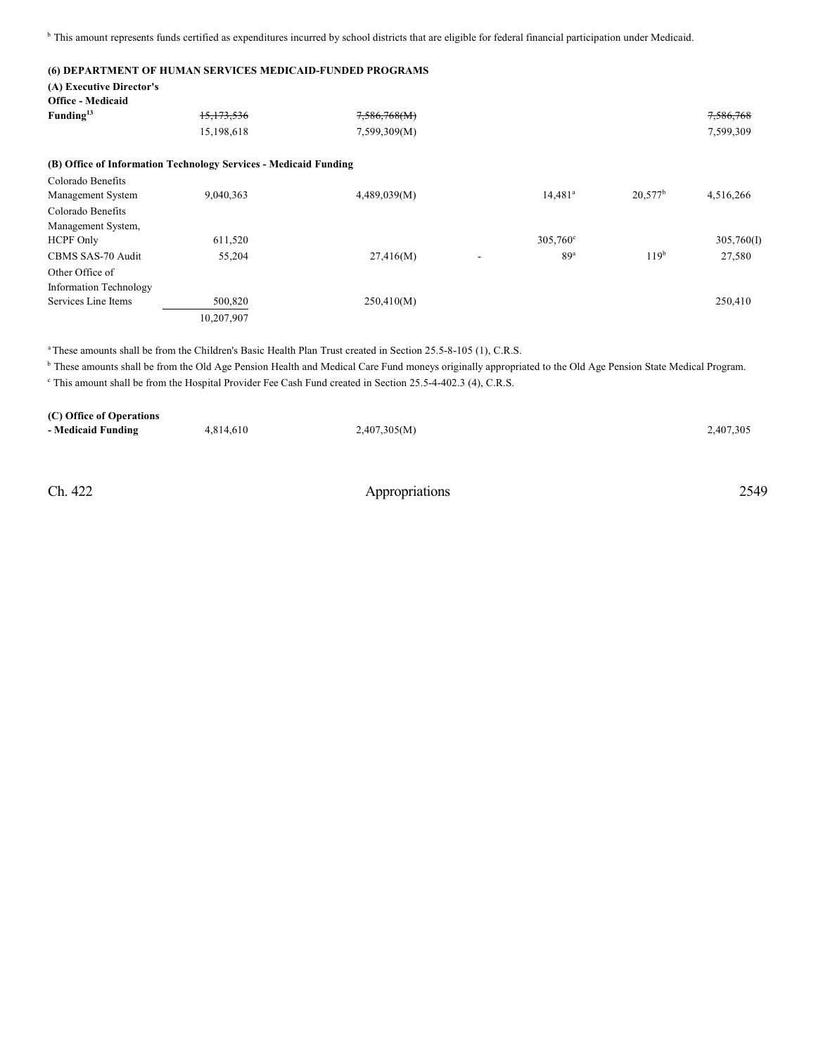<sup>b</sup> This amount represents funds certified as expenditures incurred by school districts that are eligible for federal financial participation under Medicaid.

#### **(6) DEPARTMENT OF HUMAN SERVICES MEDICAID-FUNDED PROGRAMS**

| (A) Executive Director's      |                                                                  |              |                                             |                  |            |
|-------------------------------|------------------------------------------------------------------|--------------|---------------------------------------------|------------------|------------|
| <b>Office - Medicaid</b>      |                                                                  |              |                                             |                  |            |
| Funding <sup>13</sup>         | 15, 173, 536                                                     | 7,586,768(M) |                                             |                  | 7,586,768  |
|                               | 15,198,618                                                       | 7,599,309(M) |                                             |                  | 7,599,309  |
|                               | (B) Office of Information Technology Services - Medicaid Funding |              |                                             |                  |            |
| Colorado Benefits             |                                                                  |              |                                             |                  |            |
| Management System             | 9,040,363                                                        | 4,489,039(M) | $14,481^a$                                  | $20.577^b$       | 4,516,266  |
| Colorado Benefits             |                                                                  |              |                                             |                  |            |
| Management System,            |                                                                  |              |                                             |                  |            |
| <b>HCPF Only</b>              | 611,520                                                          |              | $305,760^{\circ}$                           |                  | 305,760(I) |
| CBMS SAS-70 Audit             | 55,204                                                           | 27,416(M)    | 89 <sup>a</sup><br>$\overline{\phantom{a}}$ | 119 <sup>b</sup> | 27,580     |
| Other Office of               |                                                                  |              |                                             |                  |            |
| <b>Information Technology</b> |                                                                  |              |                                             |                  |            |
| Services Line Items           | 500,820                                                          | 250,410(M)   |                                             |                  | 250,410    |
|                               | 10,207,907                                                       |              |                                             |                  |            |

<sup>a</sup> These amounts shall be from the Children's Basic Health Plan Trust created in Section 25.5-8-105 (1), C.R.S.

<sup>b</sup> These amounts shall be from the Old Age Pension Health and Medical Care Fund moneys originally appropriated to the Old Age Pension State Medical Program. <sup>e</sup> This amount shall be from the Hospital Provider Fee Cash Fund created in Section 25.5-4-402.3 (4), C.R.S.

| (C) Office of Operations |           |              |           |
|--------------------------|-----------|--------------|-----------|
| - Medicaid Funding       | 4,814,610 | 2,407,305(M) | 2,407,305 |
|                          |           |              |           |
|                          |           |              |           |
|                          |           |              |           |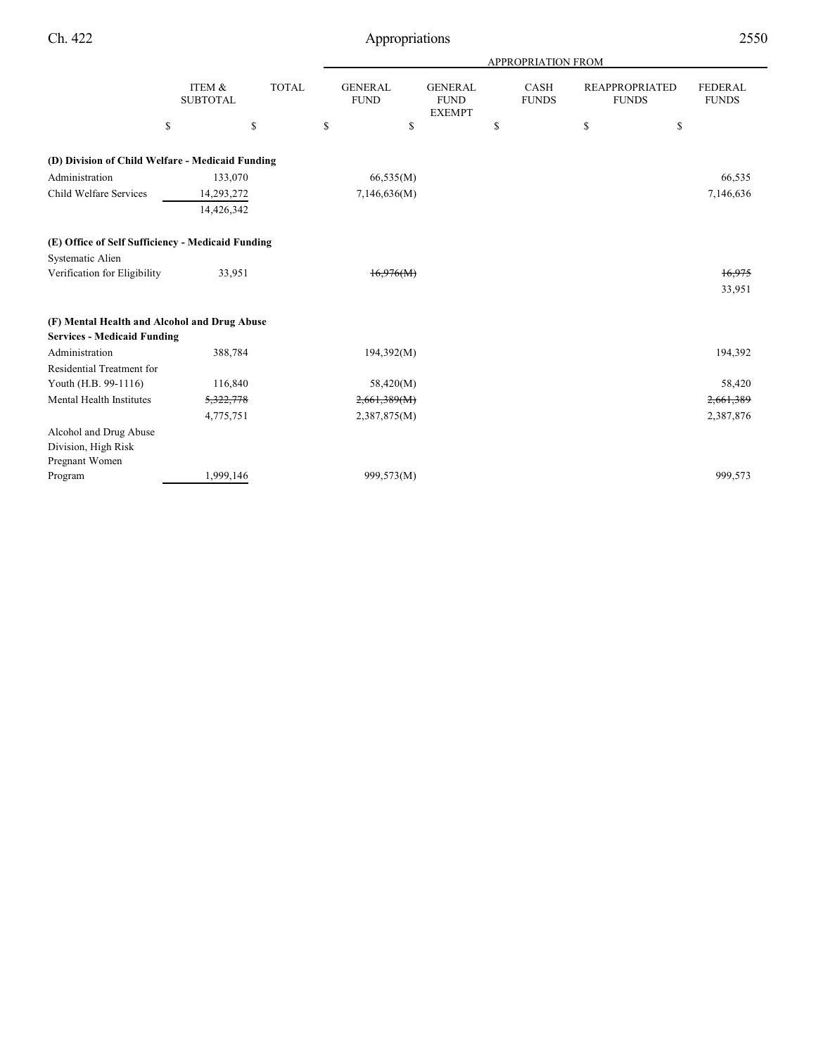|                                                   |                           |              | APPROPRIATION FROM            |                                                |    |                             |    |                                       |                                |  |
|---------------------------------------------------|---------------------------|--------------|-------------------------------|------------------------------------------------|----|-----------------------------|----|---------------------------------------|--------------------------------|--|
|                                                   | ITEM &<br><b>SUBTOTAL</b> | <b>TOTAL</b> | <b>GENERAL</b><br><b>FUND</b> | <b>GENERAL</b><br><b>FUND</b><br><b>EXEMPT</b> |    | <b>CASH</b><br><b>FUNDS</b> |    | <b>REAPPROPRIATED</b><br><b>FUNDS</b> | <b>FEDERAL</b><br><b>FUNDS</b> |  |
| \$                                                |                           | \$           | \$<br>\$                      |                                                | \$ |                             | \$ | \$                                    |                                |  |
| (D) Division of Child Welfare - Medicaid Funding  |                           |              |                               |                                                |    |                             |    |                                       |                                |  |
| Administration                                    | 133,070                   |              | 66,535(M)                     |                                                |    |                             |    |                                       | 66,535                         |  |
| Child Welfare Services                            | 14,293,272                |              | 7,146,636(M)                  |                                                |    |                             |    |                                       | 7,146,636                      |  |
|                                                   | 14,426,342                |              |                               |                                                |    |                             |    |                                       |                                |  |
| (E) Office of Self Sufficiency - Medicaid Funding |                           |              |                               |                                                |    |                             |    |                                       |                                |  |
| Systematic Alien                                  |                           |              |                               |                                                |    |                             |    |                                       |                                |  |
| Verification for Eligibility                      | 33,951                    |              | 16.976(M)                     |                                                |    |                             |    |                                       | 16,975                         |  |
|                                                   |                           |              |                               |                                                |    |                             |    |                                       | 33,951                         |  |
| (F) Mental Health and Alcohol and Drug Abuse      |                           |              |                               |                                                |    |                             |    |                                       |                                |  |
| <b>Services - Medicaid Funding</b>                |                           |              |                               |                                                |    |                             |    |                                       |                                |  |
| Administration                                    | 388,784                   |              | 194,392(M)                    |                                                |    |                             |    |                                       | 194,392                        |  |
| Residential Treatment for                         |                           |              |                               |                                                |    |                             |    |                                       |                                |  |
| Youth (H.B. 99-1116)                              | 116,840                   |              | 58,420(M)                     |                                                |    |                             |    |                                       | 58,420                         |  |
| Mental Health Institutes                          | 5,322,778                 |              | 2,661,389(M)                  |                                                |    |                             |    |                                       | 2,661,389                      |  |
|                                                   | 4,775,751                 |              | 2,387,875(M)                  |                                                |    |                             |    |                                       | 2,387,876                      |  |
| Alcohol and Drug Abuse                            |                           |              |                               |                                                |    |                             |    |                                       |                                |  |
| Division, High Risk                               |                           |              |                               |                                                |    |                             |    |                                       |                                |  |
| Pregnant Women                                    |                           |              |                               |                                                |    |                             |    |                                       |                                |  |
| Program                                           | 1,999,146                 |              | 999,573(M)                    |                                                |    |                             |    |                                       | 999,573                        |  |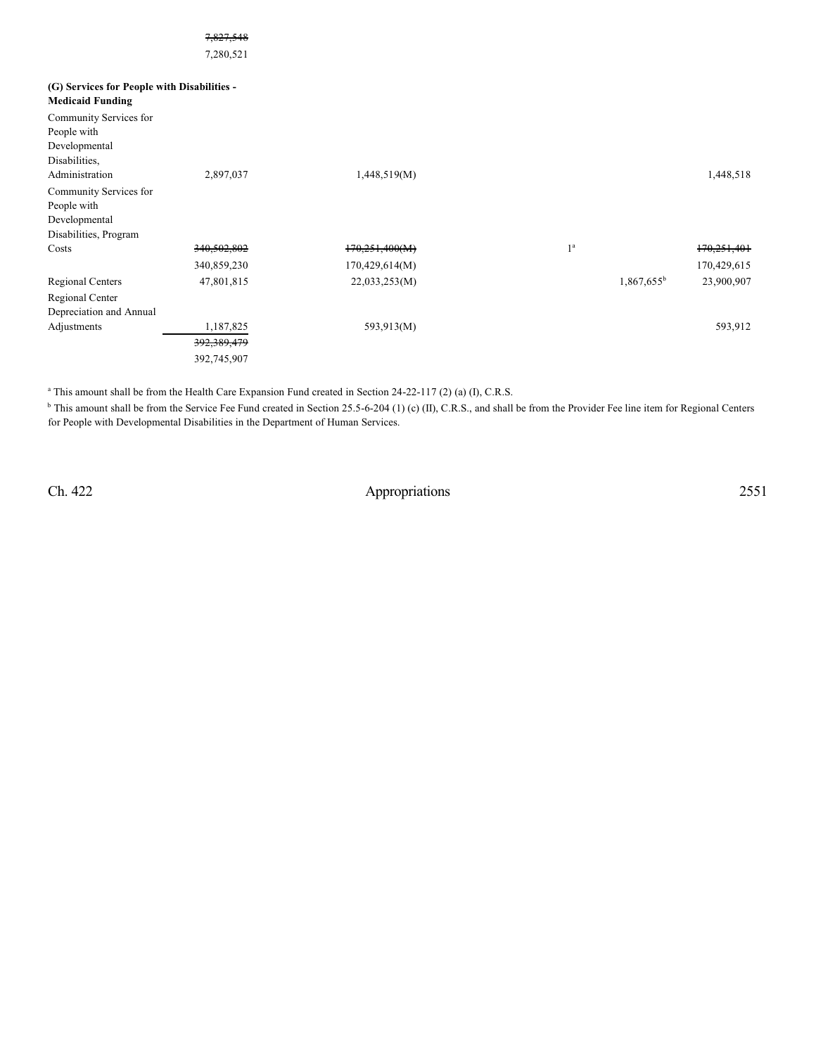|                                             | 7,827,548   |                |                |                             |
|---------------------------------------------|-------------|----------------|----------------|-----------------------------|
|                                             | 7,280,521   |                |                |                             |
| (G) Services for People with Disabilities - |             |                |                |                             |
| <b>Medicaid Funding</b>                     |             |                |                |                             |
| Community Services for                      |             |                |                |                             |
| People with                                 |             |                |                |                             |
| Developmental                               |             |                |                |                             |
| Disabilities,                               |             |                |                |                             |
| Administration                              | 2,897,037   | 1,448,519(M)   |                | 1,448,518                   |
| Community Services for                      |             |                |                |                             |
| People with                                 |             |                |                |                             |
| Developmental                               |             |                |                |                             |
| Disabilities, Program                       |             |                |                |                             |
| Costs                                       | 340,502,802 | 170,251,400(M) | 1 <sup>a</sup> | 170,251,401                 |
|                                             | 340,859,230 | 170,429,614(M) |                | 170,429,615                 |
| <b>Regional Centers</b>                     | 47,801,815  | 22,033,253(M)  |                | $1,867,655^b$<br>23,900,907 |

<sup>a</sup> This amount shall be from the Health Care Expansion Fund created in Section 24-22-117 (2) (a) (I), C.R.S.

392,389,479 392,745,907

<sup>b</sup> This amount shall be from the Service Fee Fund created in Section 25.5-6-204 (1) (c) (II), C.R.S., and shall be from the Provider Fee line item for Regional Centers for People with Developmental Disabilities in the Department of Human Services.

Adjustments 1,187,825 593,913(M) 599,913 593,913 593,913 593,912

Regional Center Depreciation and Annual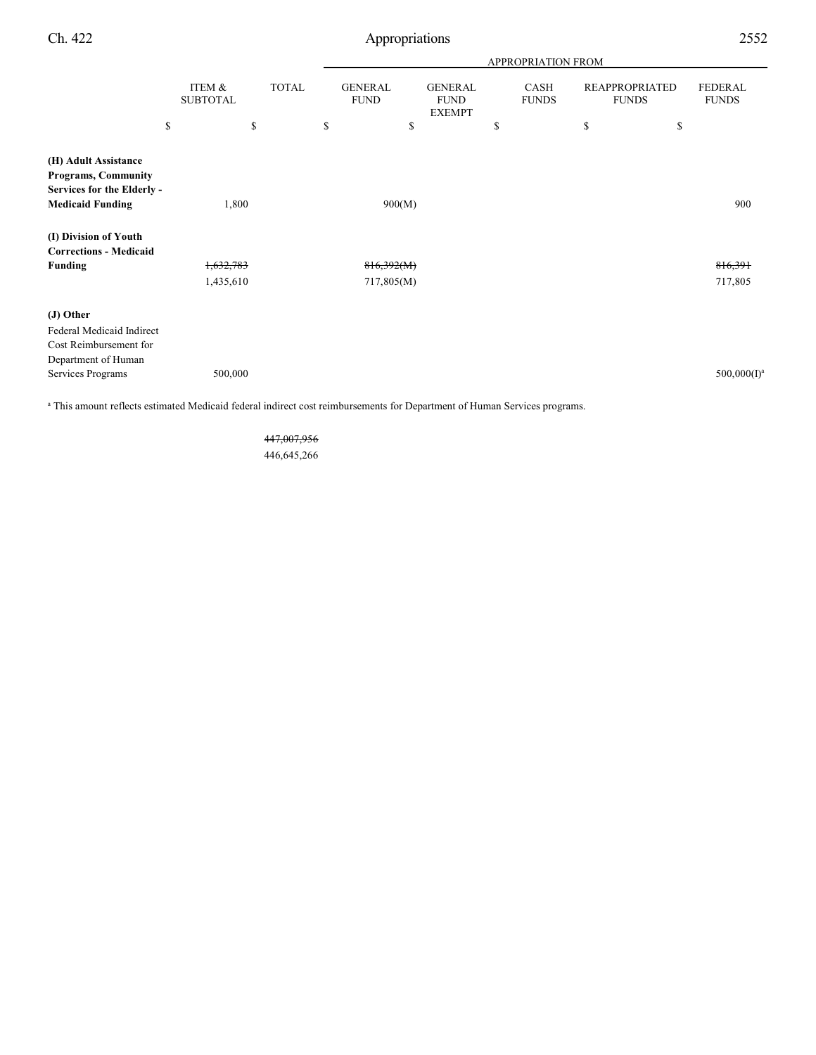|                                                                                                             |                           |              | <b>APPROPRIATION FROM</b> |                               |                                                |    |                      |                                       |                                |
|-------------------------------------------------------------------------------------------------------------|---------------------------|--------------|---------------------------|-------------------------------|------------------------------------------------|----|----------------------|---------------------------------------|--------------------------------|
|                                                                                                             | ITEM &<br><b>SUBTOTAL</b> | <b>TOTAL</b> |                           | <b>GENERAL</b><br><b>FUND</b> | <b>GENERAL</b><br><b>FUND</b><br><b>EXEMPT</b> |    | CASH<br><b>FUNDS</b> | <b>REAPPROPRIATED</b><br><b>FUNDS</b> | <b>FEDERAL</b><br><b>FUNDS</b> |
|                                                                                                             | \$                        | \$           | \$                        | \$                            |                                                | \$ | \$                   | \$                                    |                                |
| (H) Adult Assistance<br><b>Programs, Community</b><br>Services for the Elderly -<br><b>Medicaid Funding</b> | 1,800                     |              | 900(M)                    |                               |                                                |    |                      | 900                                   |                                |
| (I) Division of Youth<br><b>Corrections - Medicaid</b>                                                      |                           |              |                           |                               |                                                |    |                      |                                       |                                |
| <b>Funding</b>                                                                                              | 1,632,783                 |              |                           | 816,392(M)                    |                                                |    |                      |                                       | 816,391                        |
|                                                                                                             | 1,435,610                 |              |                           | 717,805(M)                    |                                                |    |                      |                                       | 717,805                        |
| (J) Other<br>Federal Medicaid Indirect<br>Cost Reimbursement for                                            |                           |              |                           |                               |                                                |    |                      |                                       |                                |
| Department of Human                                                                                         |                           |              |                           |                               |                                                |    |                      |                                       |                                |
| Services Programs                                                                                           | 500,000                   |              |                           |                               |                                                |    |                      |                                       | $500,000(I)^a$                 |

<sup>a</sup> This amount reflects estimated Medicaid federal indirect cost reimbursements for Department of Human Services programs.

447,007,956 446,645,266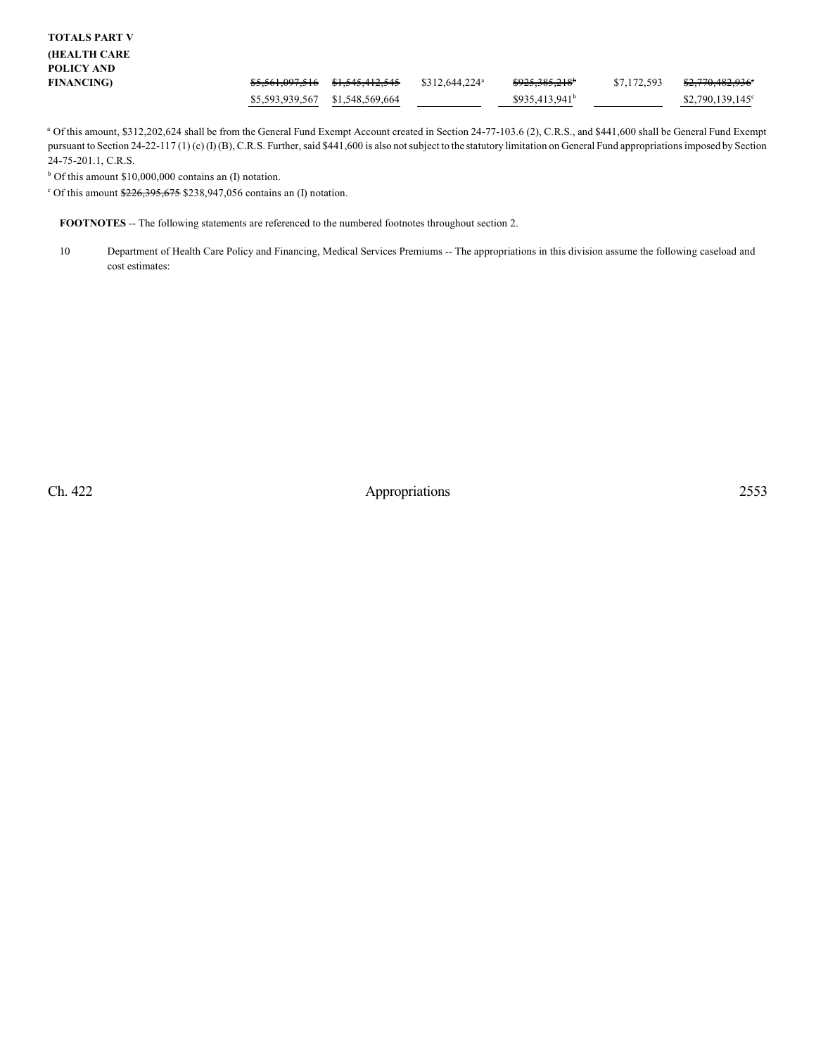<sup>a</sup> Of this amount, \$312,202,624 shall be from the General Fund Exempt Account created in Section 24-77-103.6 (2), C.R.S., and \$441,600 shall be General Fund Exempt pursuant to Section 24-22-117 (1) (c) (I) (B), C.R.S. Further, said \$441,600 is also not subject to the statutory limitation on General Fund appropriations imposed by Section 24-75-201.1, C.R.S.

 $b$  Of this amount \$10,000,000 contains an (I) notation.

<sup>c</sup> Of this amount  $226,395,675$  \$238,947,056 contains an (I) notation.

**FOOTNOTES** -- The following statements are referenced to the numbered footnotes throughout section 2.

10 Department of Health Care Policy and Financing, Medical Services Premiums -- The appropriations in this division assume the following caseload and cost estimates: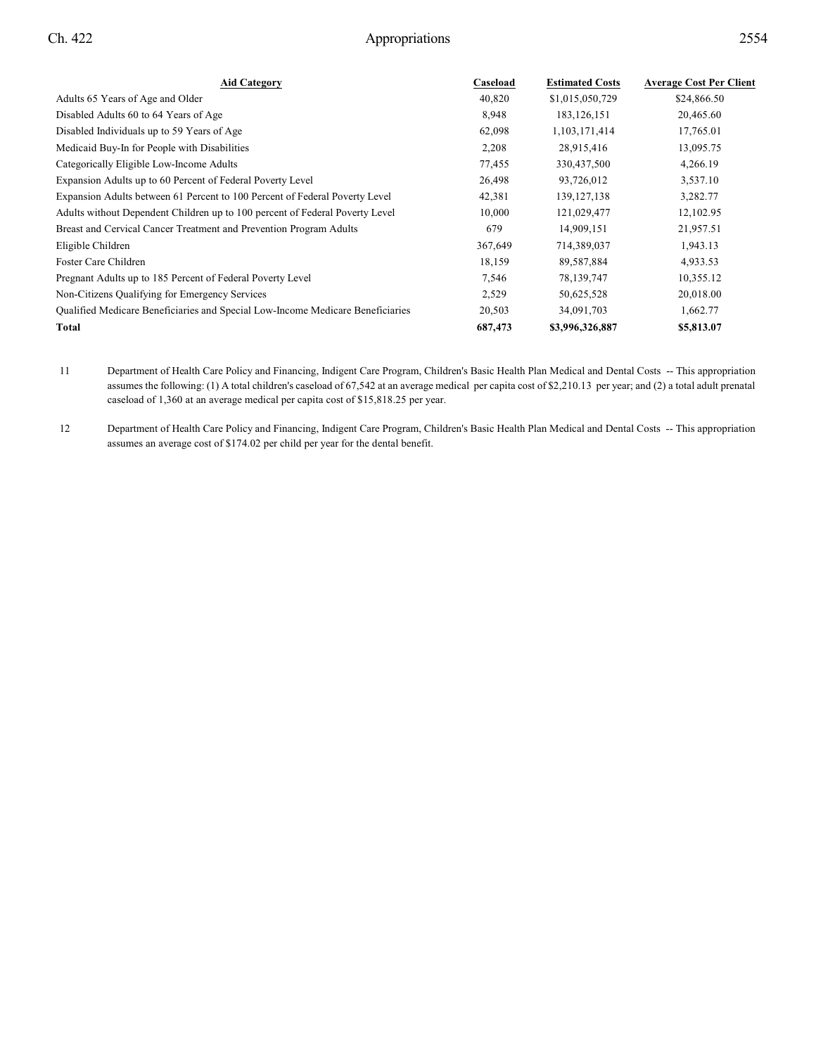| <b>Aid Category</b>                                                            | Caseload | <b>Estimated Costs</b> | <b>Average Cost Per Client</b> |
|--------------------------------------------------------------------------------|----------|------------------------|--------------------------------|
| Adults 65 Years of Age and Older                                               | 40,820   | \$1,015,050,729        | \$24,866.50                    |
| Disabled Adults 60 to 64 Years of Age                                          | 8,948    | 183, 126, 151          | 20,465.60                      |
| Disabled Individuals up to 59 Years of Age                                     | 62,098   | 1,103,171,414          | 17,765.01                      |
| Medicaid Buy-In for People with Disabilities                                   | 2,208    | 28,915,416             | 13,095.75                      |
| Categorically Eligible Low-Income Adults                                       | 77,455   | 330,437,500            | 4,266.19                       |
| Expansion Adults up to 60 Percent of Federal Poverty Level                     | 26,498   | 93,726,012             | 3,537.10                       |
| Expansion Adults between 61 Percent to 100 Percent of Federal Poverty Level    | 42,381   | 139, 127, 138          | 3,282.77                       |
| Adults without Dependent Children up to 100 percent of Federal Poverty Level   | 10,000   | 121,029,477            | 12,102.95                      |
| Breast and Cervical Cancer Treatment and Prevention Program Adults             | 679      | 14,909,151             | 21,957.51                      |
| Eligible Children                                                              | 367,649  | 714,389,037            | 1,943.13                       |
| Foster Care Children                                                           | 18,159   | 89,587,884             | 4,933.53                       |
| Pregnant Adults up to 185 Percent of Federal Poverty Level                     | 7,546    | 78,139,747             | 10,355.12                      |
| Non-Citizens Qualifying for Emergency Services                                 | 2,529    | 50,625,528             | 20,018.00                      |
| Qualified Medicare Beneficiaries and Special Low-Income Medicare Beneficiaries | 20,503   | 34,091,703             | 1,662.77                       |
| Total                                                                          | 687,473  | \$3,996,326,887        | \$5,813.07                     |

11 Department of Health Care Policy and Financing, Indigent Care Program, Children's Basic Health Plan Medical and Dental Costs -- This appropriation assumes the following: (1) A total children's caseload of 67,542 at an average medical per capita cost of \$2,210.13 per year; and (2) a total adult prenatal caseload of 1,360 at an average medical per capita cost of \$15,818.25 per year.

12 Department of Health Care Policy and Financing, Indigent Care Program, Children's Basic Health Plan Medical and Dental Costs -- This appropriation assumes an average cost of \$174.02 per child per year for the dental benefit.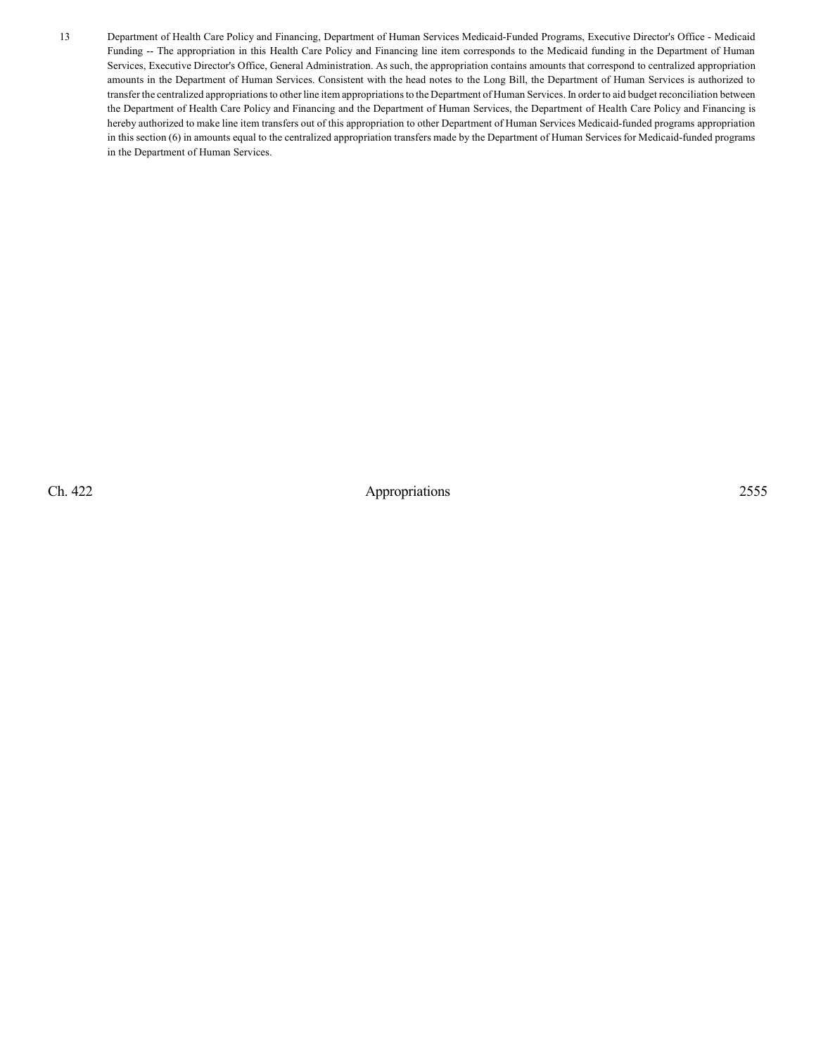13 Department of Health Care Policy and Financing, Department of Human Services Medicaid-Funded Programs, Executive Director's Office - Medicaid Funding -- The appropriation in this Health Care Policy and Financing line item corresponds to the Medicaid funding in the Department of Human Services, Executive Director's Office, General Administration. As such, the appropriation contains amounts that correspond to centralized appropriation amounts in the Department of Human Services. Consistent with the head notes to the Long Bill, the Department of Human Services is authorized to transfer the centralized appropriations to other line item appropriations to the Department of Human Services. In order to aid budget reconciliation between the Department of Health Care Policy and Financing and the Department of Human Services, the Department of Health Care Policy and Financing is hereby authorized to make line item transfers out of this appropriation to other Department of Human Services Medicaid-funded programs appropriation in this section (6) in amounts equal to the centralized appropriation transfers made by the Department of Human Services for Medicaid-funded programs in the Department of Human Services.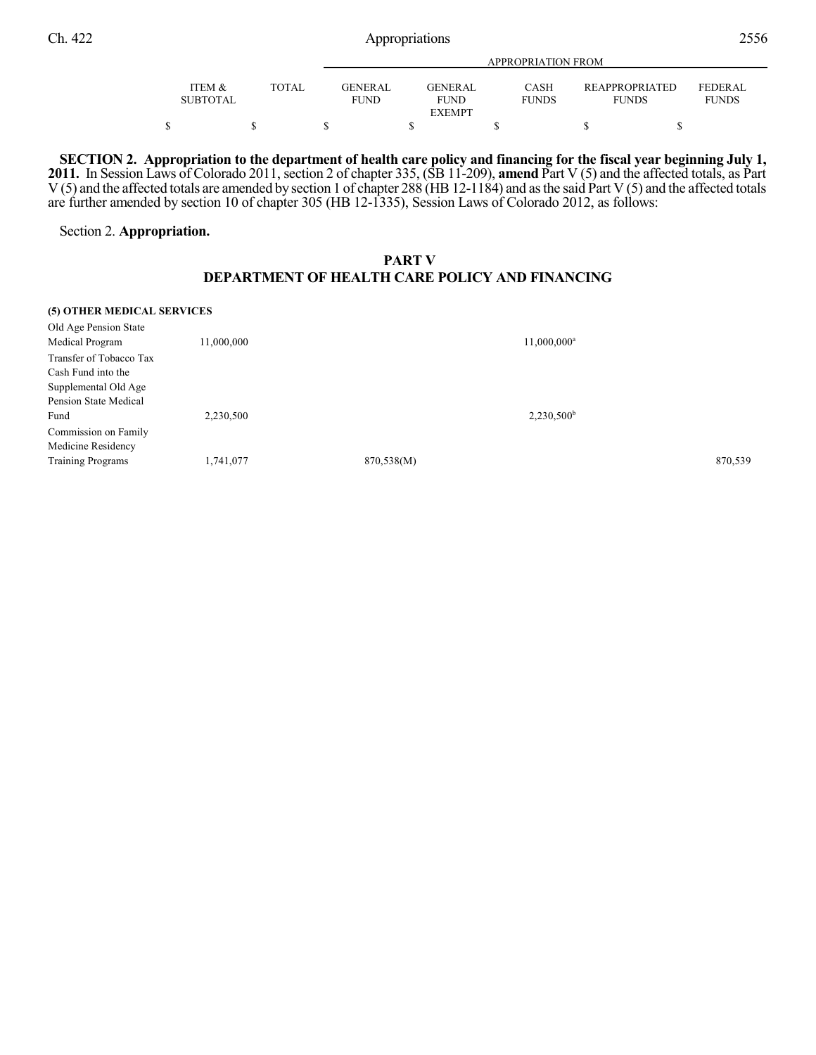|                 |              | APPROPRIATION FROM |                 |              |                       |                |  |  |
|-----------------|--------------|--------------------|-----------------|--------------|-----------------------|----------------|--|--|
|                 |              |                    |                 |              |                       |                |  |  |
| ITEM &          | <b>TOTAL</b> | <b>GENERAL</b>     | <b>GENER AL</b> | <b>CASH</b>  | <b>REAPPROPRIATED</b> | <b>FEDERAL</b> |  |  |
| <b>SUBTOTAL</b> |              | FUND               | <b>FUND</b>     | <b>FUNDS</b> | <b>FUNDS</b>          | <b>FUNDS</b>   |  |  |
|                 |              |                    | <b>EXEMPT</b>   |              |                       |                |  |  |
|                 |              |                    |                 |              |                       |                |  |  |

SECTION 2. Appropriation to the department of health care policy and financing for the fiscal year beginning July 1, **2011.** In Session Laws of Colorado 2011, section 2 of chapter 335, (SB 11-209), **amend** Part V (5) and the affected totals, as Part V (5) and the affected totals are amended by section 1 of chapter 288 (HB12-1184) and asthe said Part V (5) and the affected totals are further amended by section 10 of chapter 305 (HB 12-1335), Session Laws of Colorado 2012, as follows:

### Section 2. **Appropriation.**

## **PART V DEPARTMENT OF HEALTH CARE POLICY AND FINANCING**

#### **(5) OTHER MEDICAL SERVICES**

| Old Age Pension State    |            |            |                     |         |
|--------------------------|------------|------------|---------------------|---------|
| Medical Program          | 11,000,000 |            | $11,000,000^a$      |         |
| Transfer of Tobacco Tax  |            |            |                     |         |
| Cash Fund into the       |            |            |                     |         |
| Supplemental Old Age     |            |            |                     |         |
| Pension State Medical    |            |            |                     |         |
| Fund                     | 2,230,500  |            | $2,230,500^{\rm b}$ |         |
| Commission on Family     |            |            |                     |         |
| Medicine Residency       |            |            |                     |         |
| <b>Training Programs</b> | 1,741,077  | 870,538(M) |                     | 870,539 |
|                          |            |            |                     |         |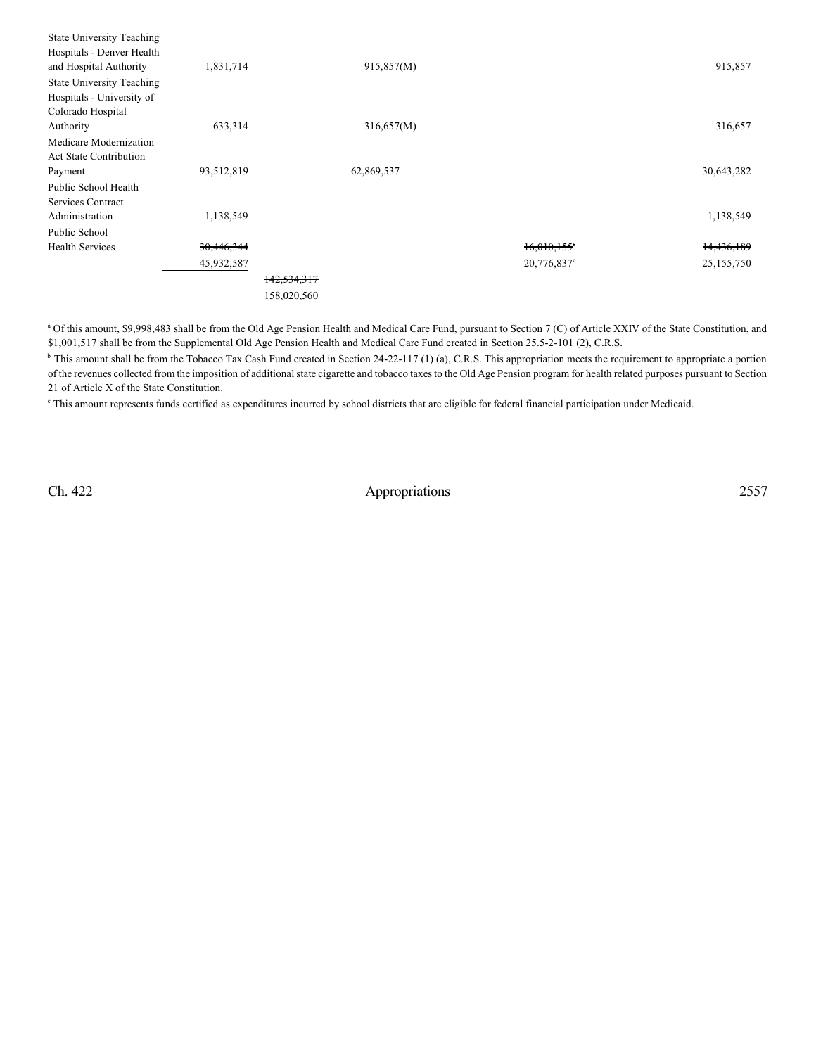| Colorado Hospital<br>316,657<br>633,314<br>Authority<br>316,657(M)<br>Medicare Modernization<br><b>Act State Contribution</b><br>30,643,282<br>93,512,819<br>62,869,537<br>Payment<br>Public School Health |
|------------------------------------------------------------------------------------------------------------------------------------------------------------------------------------------------------------|
|                                                                                                                                                                                                            |
|                                                                                                                                                                                                            |
|                                                                                                                                                                                                            |
|                                                                                                                                                                                                            |
|                                                                                                                                                                                                            |
|                                                                                                                                                                                                            |
| Services Contract                                                                                                                                                                                          |
| 1,138,549<br>Administration<br>1,138,549                                                                                                                                                                   |
| Public School                                                                                                                                                                                              |
| 30,446,344<br>14,436,189<br><b>Health Services</b><br>$16.010.155$ <sup>e</sup>                                                                                                                            |
| 25, 155, 750<br>45,932,587<br>20,776,837°                                                                                                                                                                  |
| 142,534,317                                                                                                                                                                                                |
| 158,020,560                                                                                                                                                                                                |

<sup>a</sup> Of this amount, \$9,998,483 shall be from the Old Age Pension Health and Medical Care Fund, pursuant to Section 7 (C) of Article XXIV of the State Constitution, and \$1,001,517 shall be from the Supplemental Old Age Pension Health and Medical Care Fund created in Section 25.5-2-101 (2), C.R.S.

<sup>b</sup> This amount shall be from the Tobacco Tax Cash Fund created in Section 24-22-117 (1) (a), C.R.S. This appropriation meets the requirement to appropriate a portion of the revenues collected from the imposition of additional state cigarette and tobacco taxes to the Old Age Pension program for health related purposes pursuant to Section 21 of Article X of the State Constitution.

This amount represents funds certified as expenditures incurred by school districts that are eligible for federal financial participation under Medicaid.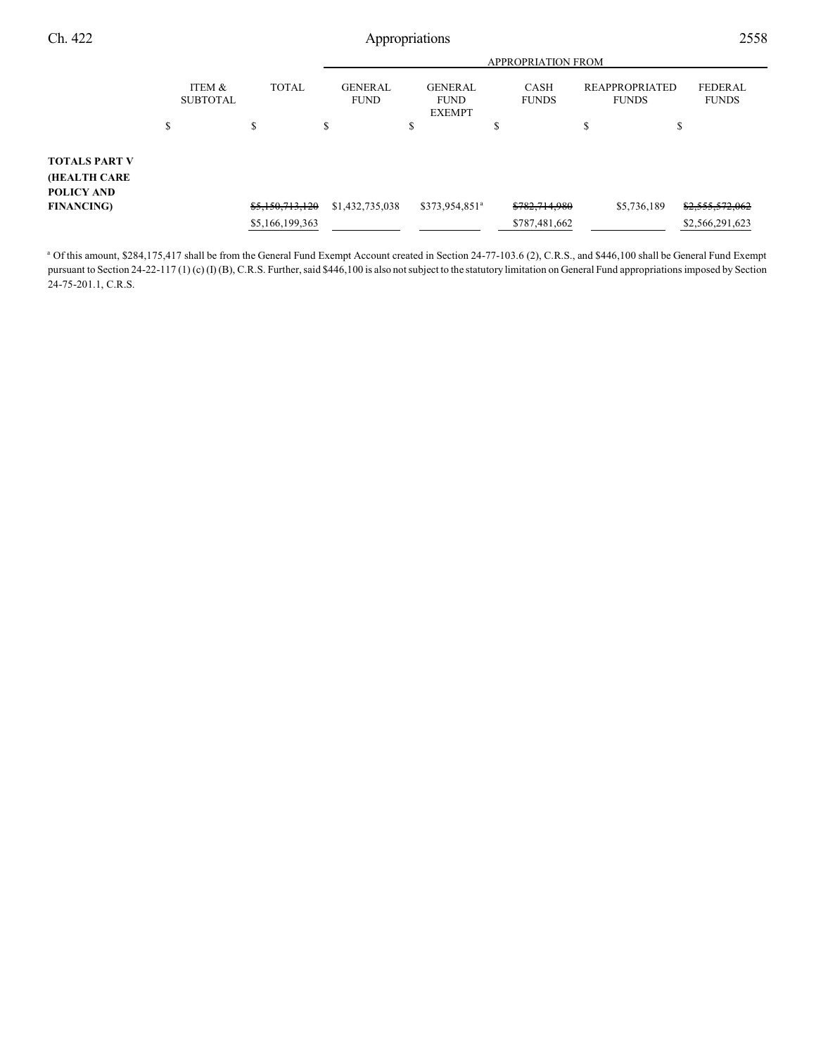|                                                           |                                      |                 |                               |                                                | <b>APPROPRIATION FROM</b>   |                                       |                                |
|-----------------------------------------------------------|--------------------------------------|-----------------|-------------------------------|------------------------------------------------|-----------------------------|---------------------------------------|--------------------------------|
|                                                           | <b>ITEM &amp;</b><br><b>SUBTOTAL</b> | <b>TOTAL</b>    | <b>GENERAL</b><br><b>FUND</b> | <b>GENERAL</b><br><b>FUND</b><br><b>EXEMPT</b> | <b>CASH</b><br><b>FUNDS</b> | <b>REAPPROPRIATED</b><br><b>FUNDS</b> | <b>FEDERAL</b><br><b>FUNDS</b> |
|                                                           | \$                                   | S               | \$                            | \$                                             | \$                          | \$                                    | Φ                              |
| <b>TOTALS PART V</b><br>(HEALTH CARE<br><b>POLICY AND</b> |                                      |                 |                               |                                                |                             |                                       |                                |
| <b>FINANCING</b>                                          |                                      | \$5,150,713,120 | \$1,432,735,038               | \$373,954,851 <sup>a</sup>                     | \$782,714,980               | \$5,736,189                           | \$2,555,572,062                |
|                                                           |                                      | \$5,166,199,363 |                               |                                                | \$787,481,662               |                                       | \$2,566,291,623                |

<sup>a</sup> Of this amount, \$284,175,417 shall be from the General Fund Exempt Account created in Section 24-77-103.6 (2), C.R.S., and \$446,100 shall be General Fund Exempt pursuant to Section 24-22-117 (1) (c) (I) (B), C.R.S. Further, said \$446,100 is also notsubject to the statutory limitation on General Fund appropriations imposed by Section 24-75-201.1, C.R.S.